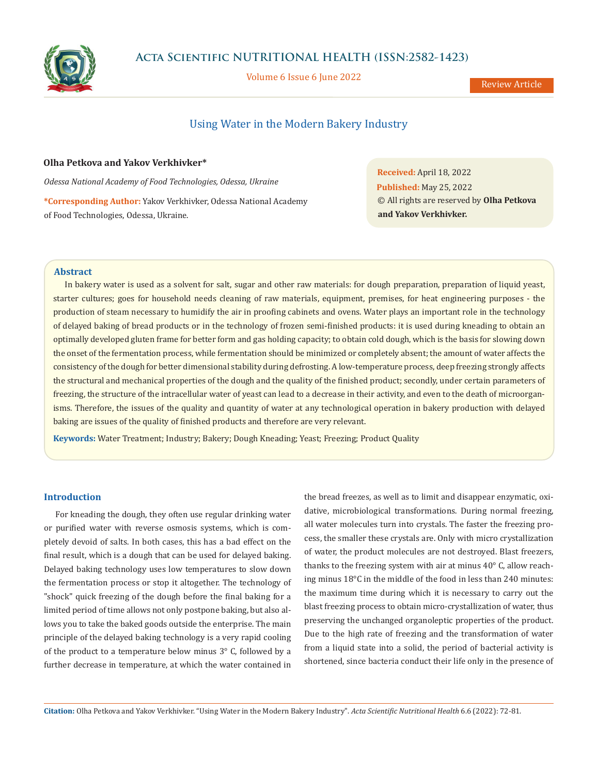

Volume 6 Issue 6 June 2022

Review Article

# Using Water in the Modern Bakery Industry

### **Olha Petkova and Yakov Verkhivker\***

*Odessa National Academy of Food Technologies, Odessa, Ukraine*

**\*Corresponding Author:** Yakov Verkhivker, Odessa National Academy of Food Technologies, Odessa, Ukraine.

**Received:** April 18, 2022 **Published:** May 25, 2022 © All rights are reserved by **Olha Petkova and Yakov Verkhivker.**

# **Abstract**

In bakery water is used as a solvent for salt, sugar and other raw materials: for dough preparation, preparation of liquid yeast, starter cultures; goes for household needs cleaning of raw materials, equipment, premises, for heat engineering purposes - the production of steam necessary to humidify the air in proofing cabinets and ovens. Water plays an important role in the technology of delayed baking of bread products or in the technology of frozen semi-finished products: it is used during kneading to obtain an optimally developed gluten frame for better form and gas holding capacity; to obtain cold dough, which is the basis for slowing down the onset of the fermentation process, while fermentation should be minimized or completely absent; the amount of water affects the consistency of the dough for better dimensional stability during defrosting. A low-temperature process, deep freezing strongly affects the structural and mechanical properties of the dough and the quality of the finished product; secondly, under certain parameters of freezing, the structure of the intracellular water of yeast can lead to a decrease in their activity, and even to the death of microorganisms. Therefore, the issues of the quality and quantity of water at any technological operation in bakery production with delayed baking are issues of the quality of finished products and therefore are very relevant.

**Keywords:** Water Treatment; Industry; Bakery; Dough Kneading; Yeast; Freezing; Product Quality

# **Introduction**

For kneading the dough, they often use regular drinking water or purified water with reverse osmosis systems, which is completely devoid of salts. In both cases, this has a bad effect on the final result, which is a dough that can be used for delayed baking. Delayed baking technology uses low temperatures to slow down the fermentation process or stop it altogether. The technology of "shock" quick freezing of the dough before the final baking for a limited period of time allows not only postpone baking, but also allows you to take the baked goods outside the enterprise. The main principle of the delayed baking technology is a very rapid cooling of the product to a temperature below minus 3° C, followed by a further decrease in temperature, at which the water contained in

the bread freezes, as well as to limit and disappear enzymatic, oxidative, microbiological transformations. During normal freezing, all water molecules turn into crystals. The faster the freezing process, the smaller these crystals are. Only with micro crystallization of water, the product molecules are not destroyed. Blast freezers, thanks to the freezing system with air at minus 40° C, allow reaching minus 18°C in the middle of the food in less than 240 minutes: the maximum time during which it is necessary to carry out the blast freezing process to obtain micro-crystallization of water, thus preserving the unchanged organoleptic properties of the product. Due to the high rate of freezing and the transformation of water from a liquid state into a solid, the period of bacterial activity is shortened, since bacteria conduct their life only in the presence of

**Citation:** Olha Petkova and Yakov Verkhivker. "Using Water in the Modern Bakery Industry". *Acta Scientific Nutritional Health* 6.6 (2022): 72-81.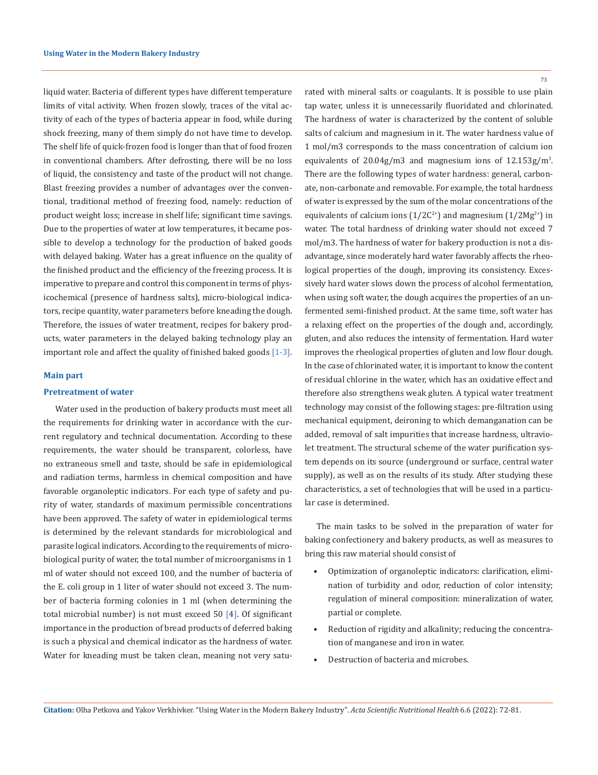liquid water. Bacteria of different types have different temperature limits of vital activity. When frozen slowly, traces of the vital activity of each of the types of bacteria appear in food, while during shock freezing, many of them simply do not have time to develop. The shelf life of quick-frozen food is longer than that of food frozen in conventional chambers. After defrosting, there will be no loss of liquid, the consistency and taste of the product will not change. Blast freezing provides a number of advantages over the conventional, traditional method of freezing food, namely: reduction of product weight loss; increase in shelf life; significant time savings. Due to the properties of water at low temperatures, it became possible to develop a technology for the production of baked goods with delayed baking. Water has a great influence on the quality of the finished product and the efficiency of the freezing process. It is imperative to prepare and control this component in terms of physicochemical (presence of hardness salts), micro-biological indicators, recipe quantity, water parameters before kneading the dough. Therefore, the issues of water treatment, recipes for bakery products, water parameters in the delayed baking technology play an important role and affect the quality of finished baked goods [1-3].

#### **Main part**

#### **Pretreatment of water**

Water used in the production of bakery products must meet all the requirements for drinking water in accordance with the current regulatory and technical documentation. According to these requirements, the water should be transparent, colorless, have no extraneous smell and taste, should be safe in epidemiological and radiation terms, harmless in chemical composition and have favorable organoleptic indicators. For each type of safety and purity of water, standards of maximum permissible concentrations have been approved. The safety of water in epidemiological terms is determined by the relevant standards for microbiological and parasite logical indicators. According to the requirements of microbiological purity of water, the total number of microorganisms in 1 ml of water should not exceed 100, and the number of bacteria of the E. coli group in 1 liter of water should not exceed 3. The number of bacteria forming colonies in 1 ml (when determining the total microbial number) is not must exceed 50 [4]. Of significant importance in the production of bread products of deferred baking is such a physical and chemical indicator as the hardness of water. Water for kneading must be taken clean, meaning not very satu73

rated with mineral salts or coagulants. It is possible to use plain tap water, unless it is unnecessarily fluoridated and chlorinated. The hardness of water is characterized by the content of soluble salts of calcium and magnesium in it. The water hardness value of 1 mol/m3 corresponds to the mass concentration of calcium ion equivalents of 20.04g/m3 and magnesium ions of 12.153g/m3 . There are the following types of water hardness: general, carbonate, non-carbonate and removable. For example, the total hardness of water is expressed by the sum of the molar concentrations of the equivalents of calcium ions ( $1/2C^{2+}$ ) and magnesium ( $1/2Mg^{2+}$ ) in water. The total hardness of drinking water should not exceed 7 mol/m3. The hardness of water for bakery production is not a disadvantage, since moderately hard water favorably affects the rheological properties of the dough, improving its consistency. Excessively hard water slows down the process of alcohol fermentation, when using soft water, the dough acquires the properties of an unfermented semi-finished product. At the same time, soft water has a relaxing effect on the properties of the dough and, accordingly, gluten, and also reduces the intensity of fermentation. Hard water improves the rheological properties of gluten and low flour dough. In the case of chlorinated water, it is important to know the content of residual chlorine in the water, which has an oxidative effect and therefore also strengthens weak gluten. A typical water treatment technology may consist of the following stages: pre-filtration using mechanical equipment, deironing to which demanganation can be added, removal of salt impurities that increase hardness, ultraviolet treatment. The structural scheme of the water purification system depends on its source (underground or surface, central water supply), as well as on the results of its study. After studying these characteristics, a set of technologies that will be used in a particular case is determined.

The main tasks to be solved in the preparation of water for baking confectionery and bakery products, as well as measures to bring this raw material should consist of

- Optimization of organoleptic indicators: clarification, elimination of turbidity and odor, reduction of color intensity; regulation of mineral composition: mineralization of water, partial or complete.
- Reduction of rigidity and alkalinity; reducing the concentration of manganese and iron in water.
- Destruction of bacteria and microbes.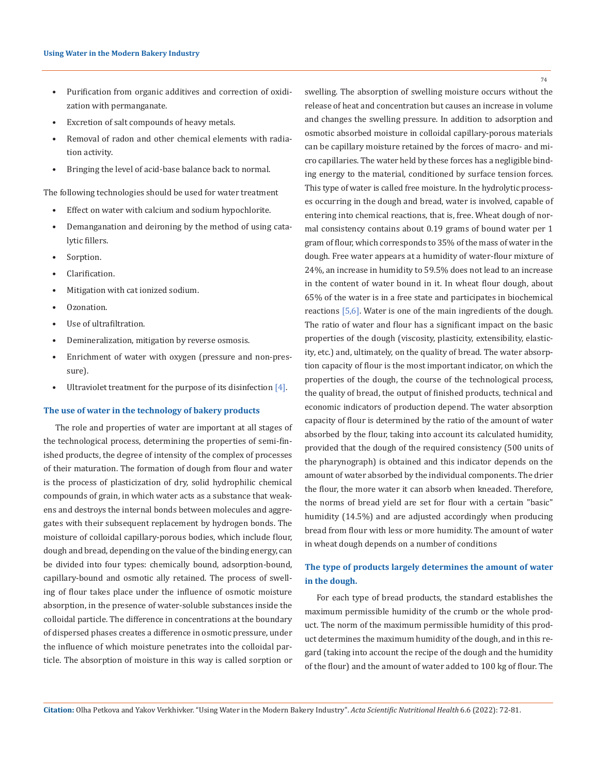- Purification from organic additives and correction of oxidization with permanganate.
- Excretion of salt compounds of heavy metals.
- Removal of radon and other chemical elements with radiation activity.
- Bringing the level of acid-base balance back to normal.

The following technologies should be used for water treatment

- Effect on water with calcium and sodium hypochlorite.
- Demanganation and deironing by the method of using catalytic fillers.
- Sorption.
- Clarification.
- Mitigation with cat ionized sodium.
- Ozonation.
- Use of ultrafiltration.
- Demineralization, mitigation by reverse osmosis.
- Enrichment of water with oxygen (pressure and non-pressure).
- Ultraviolet treatment for the purpose of its disinfection [4].

#### **The use of water in the technology of bakery products**

The role and properties of water are important at all stages of the technological process, determining the properties of semi-finished products, the degree of intensity of the complex of processes of their maturation. The formation of dough from flour and water is the process of plasticization of dry, solid hydrophilic chemical compounds of grain, in which water acts as a substance that weakens and destroys the internal bonds between molecules and aggregates with their subsequent replacement by hydrogen bonds. The moisture of colloidal capillary-porous bodies, which include flour, dough and bread, depending on the value of the binding energy, can be divided into four types: chemically bound, adsorption-bound, capillary-bound and osmotic ally retained. The process of swelling of flour takes place under the influence of osmotic moisture absorption, in the presence of water-soluble substances inside the colloidal particle. The difference in concentrations at the boundary of dispersed phases creates a difference in osmotic pressure, under the influence of which moisture penetrates into the colloidal particle. The absorption of moisture in this way is called sorption or

swelling. The absorption of swelling moisture occurs without the release of heat and concentration but causes an increase in volume and changes the swelling pressure. In addition to adsorption and osmotic absorbed moisture in colloidal capillary-porous materials can be capillary moisture retained by the forces of macro- and micro capillaries. The water held by these forces has a negligible binding energy to the material, conditioned by surface tension forces. This type of water is called free moisture. In the hydrolytic processes occurring in the dough and bread, water is involved, capable of entering into chemical reactions, that is, free. Wheat dough of normal consistency contains about 0.19 grams of bound water per 1 gram of flour, which corresponds to 35% of the mass of water in the dough. Free water appears at a humidity of water-flour mixture of 24%, an increase in humidity to 59.5% does not lead to an increase in the content of water bound in it. In wheat flour dough, about 65% of the water is in a free state and participates in biochemical reactions [5,6]. Water is one of the main ingredients of the dough. The ratio of water and flour has a significant impact on the basic properties of the dough (viscosity, plasticity, extensibility, elasticity, etc.) and, ultimately, on the quality of bread. The water absorption capacity of flour is the most important indicator, on which the properties of the dough, the course of the technological process, the quality of bread, the output of finished products, technical and economic indicators of production depend. The water absorption capacity of flour is determined by the ratio of the amount of water absorbed by the flour, taking into account its calculated humidity, provided that the dough of the required consistency (500 units of the pharynograph) is obtained and this indicator depends on the amount of water absorbed by the individual components. The drier the flour, the more water it can absorb when kneaded. Therefore, the norms of bread yield are set for flour with a certain "basic" humidity (14.5%) and are adjusted accordingly when producing bread from flour with less or more humidity. The amount of water in wheat dough depends on a number of conditions

# **The type of products largely determines the amount of water in the dough.**

For each type of bread products, the standard establishes the maximum permissible humidity of the crumb or the whole product. The norm of the maximum permissible humidity of this product determines the maximum humidity of the dough, and in this regard (taking into account the recipe of the dough and the humidity of the flour) and the amount of water added to 100 kg of flour. The

**Citation:** Olha Petkova and Yakov Verkhivker. "Using Water in the Modern Bakery Industry". *Acta Scientific Nutritional Health* 6.6 (2022): 72-81.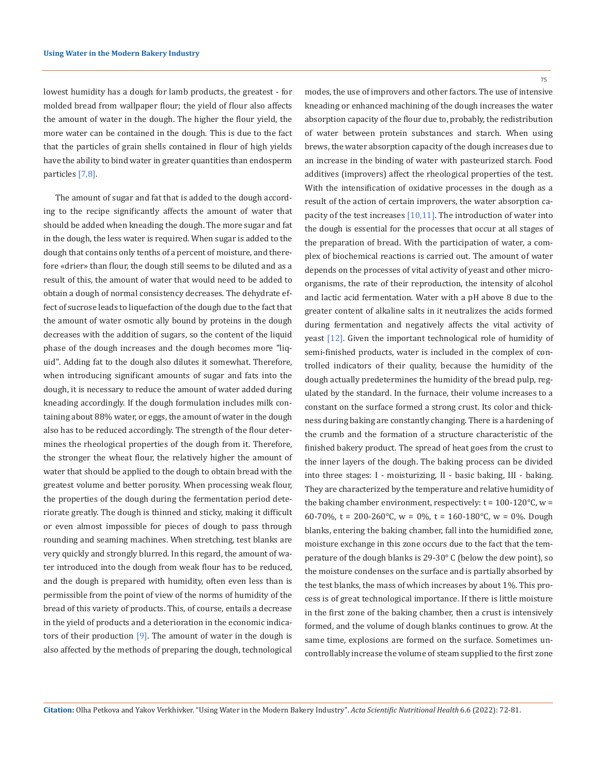lowest humidity has a dough for lamb products, the greatest - for molded bread from wallpaper flour; the yield of flour also affects the amount of water in the dough. The higher the flour yield, the more water can be contained in the dough. This is due to the fact that the particles of grain shells contained in flour of high yields have the ability to bind water in greater quantities than endosperm particles [7,8].

The amount of sugar and fat that is added to the dough according to the recipe significantly affects the amount of water that should be added when kneading the dough. The more sugar and fat in the dough, the less water is required. When sugar is added to the dough that contains only tenths of a percent of moisture, and therefore «drier» than flour, the dough still seems to be diluted and as a result of this, the amount of water that would need to be added to obtain a dough of normal consistency decreases. The dehydrate effect of sucrose leads to liquefaction of the dough due to the fact that the amount of water osmotic ally bound by proteins in the dough decreases with the addition of sugars, so the content of the liquid phase of the dough increases and the dough becomes more "liquid". Adding fat to the dough also dilutes it somewhat. Therefore, when introducing significant amounts of sugar and fats into the dough, it is necessary to reduce the amount of water added during kneading accordingly. If the dough formulation includes milk containing about 88% water, or eggs, the amount of water in the dough also has to be reduced accordingly. The strength of the flour determines the rheological properties of the dough from it. Therefore, the stronger the wheat flour, the relatively higher the amount of water that should be applied to the dough to obtain bread with the greatest volume and better porosity. When processing weak flour, the properties of the dough during the fermentation period deteriorate greatly. The dough is thinned and sticky, making it difficult or even almost impossible for pieces of dough to pass through rounding and seaming machines. When stretching, test blanks are very quickly and strongly blurred. In this regard, the amount of water introduced into the dough from weak flour has to be reduced, and the dough is prepared with humidity, often even less than is permissible from the point of view of the norms of humidity of the bread of this variety of products. This, of course, entails a decrease in the yield of products and a deterioration in the economic indicators of their production  $[9]$ . The amount of water in the dough is also affected by the methods of preparing the dough, technological

75

modes, the use of improvers and other factors. The use of intensive kneading or enhanced machining of the dough increases the water absorption capacity of the flour due to, probably, the redistribution of water between protein substances and starch. When using brews, the water absorption capacity of the dough increases due to an increase in the binding of water with pasteurized starch. Food additives (improvers) affect the rheological properties of the test. With the intensification of oxidative processes in the dough as a result of the action of certain improvers, the water absorption capacity of the test increases [10,11]. The introduction of water into the dough is essential for the processes that occur at all stages of the preparation of bread. With the participation of water, a complex of biochemical reactions is carried out. The amount of water depends on the processes of vital activity of yeast and other microorganisms, the rate of their reproduction, the intensity of alcohol and lactic acid fermentation. Water with a pH above 8 due to the greater content of alkaline salts in it neutralizes the acids formed during fermentation and negatively affects the vital activity of yeast [12]. Given the important technological role of humidity of semi-finished products, water is included in the complex of controlled indicators of their quality, because the humidity of the dough actually predetermines the humidity of the bread pulp, regulated by the standard. In the furnace, their volume increases to a constant on the surface formed a strong crust. Its color and thickness during baking are constantly changing. There is a hardening of the crumb and the formation of a structure characteristic of the finished bakery product. The spread of heat goes from the crust to the inner layers of the dough. The baking process can be divided into three stages: I - moisturizing, II - basic baking, III - baking. They are characterized by the temperature and relative humidity of the baking chamber environment, respectively:  $t = 100-120$ °C, w = 60-70%, t = 200-260°C, w = 0%, t = 160-180°C, w = 0%. Dough blanks, entering the baking chamber, fall into the humidified zone, moisture exchange in this zone occurs due to the fact that the temperature of the dough blanks is 29-30° C (below the dew point), so the moisture condenses on the surface and is partially absorbed by the test blanks, the mass of which increases by about 1%. This process is of great technological importance. If there is little moisture in the first zone of the baking chamber, then a crust is intensively formed, and the volume of dough blanks continues to grow. At the same time, explosions are formed on the surface. Sometimes uncontrollably increase the volume of steam supplied to the first zone

**Citation:** Olha Petkova and Yakov Verkhivker. "Using Water in the Modern Bakery Industry". *Acta Scientific Nutritional Health* 6.6 (2022): 72-81.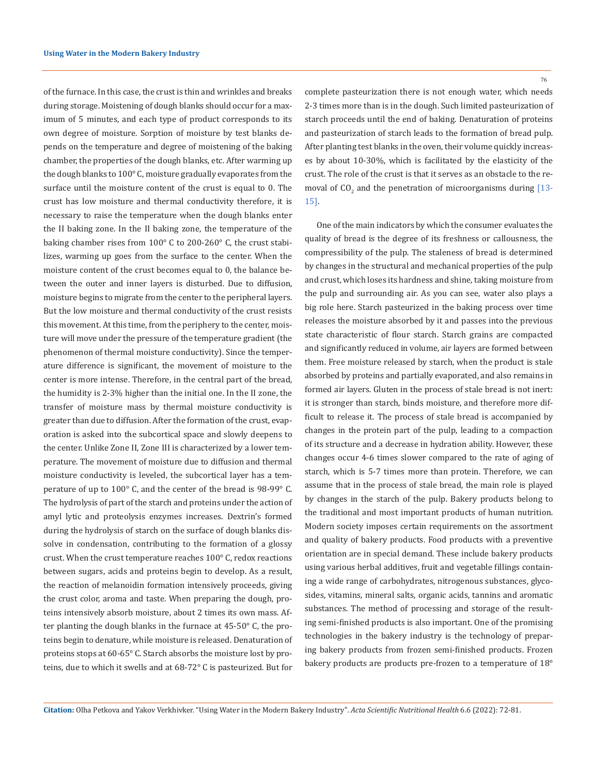of the furnace. In this case, the crust is thin and wrinkles and breaks during storage. Moistening of dough blanks should occur for a maximum of 5 minutes, and each type of product corresponds to its own degree of moisture. Sorption of moisture by test blanks depends on the temperature and degree of moistening of the baking chamber, the properties of the dough blanks, etc. After warming up the dough blanks to 100° C, moisture gradually evaporates from the surface until the moisture content of the crust is equal to 0. The crust has low moisture and thermal conductivity therefore, it is necessary to raise the temperature when the dough blanks enter the II baking zone. In the II baking zone, the temperature of the baking chamber rises from 100° C to 200-260° C, the crust stabilizes, warming up goes from the surface to the center. When the moisture content of the crust becomes equal to 0, the balance between the outer and inner layers is disturbed. Due to diffusion, moisture begins to migrate from the center to the peripheral layers. But the low moisture and thermal conductivity of the crust resists this movement. At this time, from the periphery to the center, moisture will move under the pressure of the temperature gradient (the phenomenon of thermal moisture conductivity). Since the temperature difference is significant, the movement of moisture to the center is more intense. Therefore, in the central part of the bread, the humidity is 2-3% higher than the initial one. In the II zone, the transfer of moisture mass by thermal moisture conductivity is greater than due to diffusion. After the formation of the crust, evaporation is asked into the subcortical space and slowly deepens to the center. Unlike Zone II, Zone III is characterized by a lower temperature. The movement of moisture due to diffusion and thermal moisture conductivity is leveled, the subcortical layer has a temperature of up to 100° C, and the center of the bread is 98-99° C. The hydrolysis of part of the starch and proteins under the action of amyl lytic and proteolysis enzymes increases. Dextrin's formed during the hydrolysis of starch on the surface of dough blanks dissolve in condensation, contributing to the formation of a glossy crust. When the crust temperature reaches 100° C, redox reactions between sugars, acids and proteins begin to develop. As a result, the reaction of melanoidin formation intensively proceeds, giving the crust color, aroma and taste. When preparing the dough, proteins intensively absorb moisture, about 2 times its own mass. After planting the dough blanks in the furnace at 45-50° C, the proteins begin to denature, while moisture is released. Denaturation of proteins stops at 60-65° C. Starch absorbs the moisture lost by proteins, due to which it swells and at 68-72° C is pasteurized. But for

complete pasteurization there is not enough water, which needs 2-3 times more than is in the dough. Such limited pasteurization of starch proceeds until the end of baking. Denaturation of proteins and pasteurization of starch leads to the formation of bread pulp. After planting test blanks in the oven, their volume quickly increases by about 10-30%, which is facilitated by the elasticity of the crust. The role of the crust is that it serves as an obstacle to the removal of  $CO_2$  and the penetration of microorganisms during [13-15].

One of the main indicators by which the consumer evaluates the quality of bread is the degree of its freshness or callousness, the compressibility of the pulp. The staleness of bread is determined by changes in the structural and mechanical properties of the pulp and crust, which loses its hardness and shine, taking moisture from the pulp and surrounding air. As you can see, water also plays a big role here. Starch pasteurized in the baking process over time releases the moisture absorbed by it and passes into the previous state characteristic of flour starch. Starch grains are compacted and significantly reduced in volume, air layers are formed between them. Free moisture released by starch, when the product is stale absorbed by proteins and partially evaporated, and also remains in formed air layers. Gluten in the process of stale bread is not inert: it is stronger than starch, binds moisture, and therefore more difficult to release it. The process of stale bread is accompanied by changes in the protein part of the pulp, leading to a compaction of its structure and a decrease in hydration ability. However, these changes occur 4-6 times slower compared to the rate of aging of starch, which is 5-7 times more than protein. Therefore, we can assume that in the process of stale bread, the main role is played by changes in the starch of the pulp. Bakery products belong to the traditional and most important products of human nutrition. Modern society imposes certain requirements on the assortment and quality of bakery products. Food products with a preventive orientation are in special demand. These include bakery products using various herbal additives, fruit and vegetable fillings containing a wide range of carbohydrates, nitrogenous substances, glycosides, vitamins, mineral salts, organic acids, tannins and aromatic substances. The method of processing and storage of the resulting semi-finished products is also important. One of the promising technologies in the bakery industry is the technology of preparing bakery products from frozen semi-finished products. Frozen bakery products are products pre-frozen to a temperature of 18°

**Citation:** Olha Petkova and Yakov Verkhivker. "Using Water in the Modern Bakery Industry". *Acta Scientific Nutritional Health* 6.6 (2022): 72-81.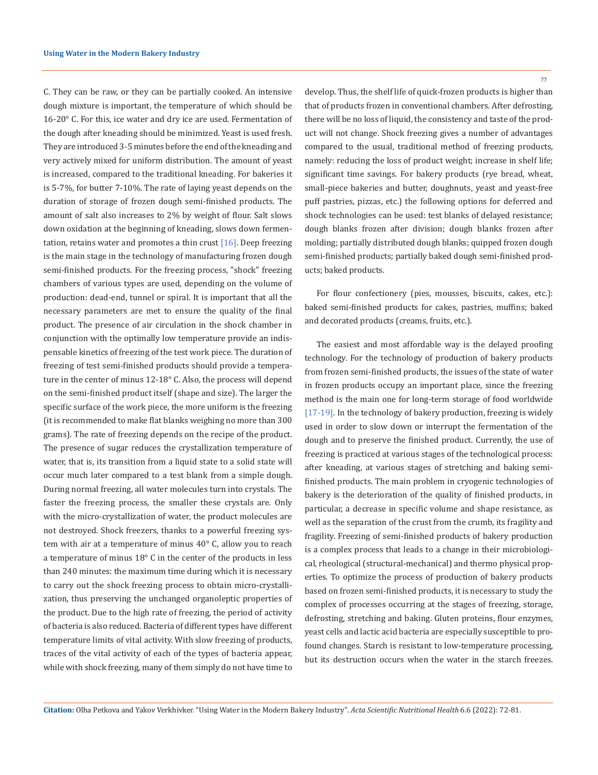C. They can be raw, or they can be partially cooked. An intensive dough mixture is important, the temperature of which should be 16-20° C. For this, ice water and dry ice are used. Fermentation of the dough after kneading should be minimized. Yeast is used fresh. They are introduced 3-5 minutes before the end of the kneading and very actively mixed for uniform distribution. The amount of yeast is increased, compared to the traditional kneading. For bakeries it is 5-7%, for butter 7-10%. The rate of laying yeast depends on the duration of storage of frozen dough semi-finished products. The amount of salt also increases to 2% by weight of flour. Salt slows down oxidation at the beginning of kneading, slows down fermentation, retains water and promotes a thin crust  $[16]$ . Deep freezing is the main stage in the technology of manufacturing frozen dough semi-finished products. For the freezing process, "shock" freezing chambers of various types are used, depending on the volume of production: dead-end, tunnel or spiral. It is important that all the necessary parameters are met to ensure the quality of the final product. The presence of air circulation in the shock chamber in conjunction with the optimally low temperature provide an indispensable kinetics of freezing of the test work piece. The duration of freezing of test semi-finished products should provide a temperature in the center of minus 12-18° C. Also, the process will depend on the semi-finished product itself (shape and size). The larger the specific surface of the work piece, the more uniform is the freezing (it is recommended to make flat blanks weighing no more than 300 grams). The rate of freezing depends on the recipe of the product. The presence of sugar reduces the crystallization temperature of water, that is, its transition from a liquid state to a solid state will occur much later compared to a test blank from a simple dough. During normal freezing, all water molecules turn into crystals. The faster the freezing process, the smaller these crystals are. Only with the micro-crystallization of water, the product molecules are not destroyed. Shock freezers, thanks to a powerful freezing system with air at a temperature of minus 40° C, allow you to reach a temperature of minus 18° C in the center of the products in less than 240 minutes: the maximum time during which it is necessary to carry out the shock freezing process to obtain micro-crystallization, thus preserving the unchanged organoleptic properties of the product. Due to the high rate of freezing, the period of activity of bacteria is also reduced. Bacteria of different types have different temperature limits of vital activity. With slow freezing of products, traces of the vital activity of each of the types of bacteria appear, while with shock freezing, many of them simply do not have time to

77

develop. Thus, the shelf life of quick-frozen products is higher than that of products frozen in conventional chambers. After defrosting, there will be no loss of liquid, the consistency and taste of the product will not change. Shock freezing gives a number of advantages compared to the usual, traditional method of freezing products, namely: reducing the loss of product weight; increase in shelf life; significant time savings. For bakery products (rye bread, wheat, small-piece bakeries and butter, doughnuts, yeast and yeast-free puff pastries, pizzas, etc.) the following options for deferred and shock technologies can be used: test blanks of delayed resistance; dough blanks frozen after division; dough blanks frozen after molding; partially distributed dough blanks; quipped frozen dough semi-finished products; partially baked dough semi-finished products; baked products.

For flour confectionery (pies, mousses, biscuits, cakes, etc.): baked semi-finished products for cakes, pastries, muffins; baked and decorated products (creams, fruits, etc.).

The easiest and most affordable way is the delayed proofing technology. For the technology of production of bakery products from frozen semi-finished products, the issues of the state of water in frozen products occupy an important place, since the freezing method is the main one for long-term storage of food worldwide [17-19]. In the technology of bakery production, freezing is widely used in order to slow down or interrupt the fermentation of the dough and to preserve the finished product. Currently, the use of freezing is practiced at various stages of the technological process: after kneading, at various stages of stretching and baking semifinished products. The main problem in cryogenic technologies of bakery is the deterioration of the quality of finished products, in particular, a decrease in specific volume and shape resistance, as well as the separation of the crust from the crumb, its fragility and fragility. Freezing of semi-finished products of bakery production is a complex process that leads to a change in their microbiological, rheological (structural-mechanical) and thermo physical properties. To optimize the process of production of bakery products based on frozen semi-finished products, it is necessary to study the complex of processes occurring at the stages of freezing, storage, defrosting, stretching and baking. Gluten proteins, flour enzymes, yeast cells and lactic acid bacteria are especially susceptible to profound changes. Starch is resistant to low-temperature processing, but its destruction occurs when the water in the starch freezes.

**Citation:** Olha Petkova and Yakov Verkhivker. "Using Water in the Modern Bakery Industry". *Acta Scientific Nutritional Health* 6.6 (2022): 72-81.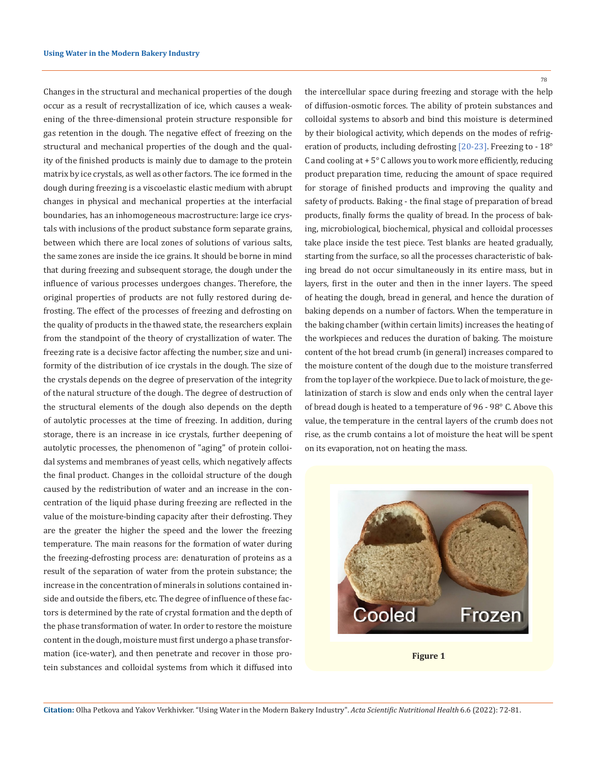Changes in the structural and mechanical properties of the dough occur as a result of recrystallization of ice, which causes a weakening of the three-dimensional protein structure responsible for gas retention in the dough. The negative effect of freezing on the structural and mechanical properties of the dough and the quality of the finished products is mainly due to damage to the protein matrix by ice crystals, as well as other factors. The ice formed in the dough during freezing is a viscoelastic elastic medium with abrupt changes in physical and mechanical properties at the interfacial boundaries, has an inhomogeneous macrostructure: large ice crystals with inclusions of the product substance form separate grains, between which there are local zones of solutions of various salts, the same zones are inside the ice grains. It should be borne in mind that during freezing and subsequent storage, the dough under the influence of various processes undergoes changes. Therefore, the original properties of products are not fully restored during defrosting. The effect of the processes of freezing and defrosting on the quality of products in the thawed state, the researchers explain from the standpoint of the theory of crystallization of water. The freezing rate is a decisive factor affecting the number, size and uniformity of the distribution of ice crystals in the dough. The size of the crystals depends on the degree of preservation of the integrity of the natural structure of the dough. The degree of destruction of the structural elements of the dough also depends on the depth of autolytic processes at the time of freezing. In addition, during storage, there is an increase in ice crystals, further deepening of autolytic processes, the phenomenon of "aging" of protein colloidal systems and membranes of yeast cells, which negatively affects the final product. Changes in the colloidal structure of the dough caused by the redistribution of water and an increase in the concentration of the liquid phase during freezing are reflected in the value of the moisture-binding capacity after their defrosting. They are the greater the higher the speed and the lower the freezing temperature. The main reasons for the formation of water during the freezing-defrosting process are: denaturation of proteins as a result of the separation of water from the protein substance; the increase in the concentration of minerals in solutions contained inside and outside the fibers, etc. The degree of influence of these factors is determined by the rate of crystal formation and the depth of the phase transformation of water. In order to restore the moisture content in the dough, moisture must first undergo a phase transformation (ice-water), and then penetrate and recover in those protein substances and colloidal systems from which it diffused into

78

the intercellular space during freezing and storage with the help of diffusion-osmotic forces. The ability of protein substances and colloidal systems to absorb and bind this moisture is determined by their biological activity, which depends on the modes of refrigeration of products, including defrosting [20-23]. Freezing to - 18° C and cooling at  $+5^{\circ}$  C allows you to work more efficiently, reducing product preparation time, reducing the amount of space required for storage of finished products and improving the quality and safety of products. Baking - the final stage of preparation of bread products, finally forms the quality of bread. In the process of baking, microbiological, biochemical, physical and colloidal processes take place inside the test piece. Test blanks are heated gradually, starting from the surface, so all the processes characteristic of baking bread do not occur simultaneously in its entire mass, but in layers, first in the outer and then in the inner layers. The speed of heating the dough, bread in general, and hence the duration of baking depends on a number of factors. When the temperature in the baking chamber (within certain limits) increases the heating of the workpieces and reduces the duration of baking. The moisture content of the hot bread crumb (in general) increases compared to the moisture content of the dough due to the moisture transferred from the top layer of the workpiece. Due to lack of moisture, the gelatinization of starch is slow and ends only when the central layer of bread dough is heated to a temperature of 96 - 98° C. Above this value, the temperature in the central layers of the crumb does not rise, as the crumb contains a lot of moisture the heat will be spent on its evaporation, not on heating the mass.



**Figure 1**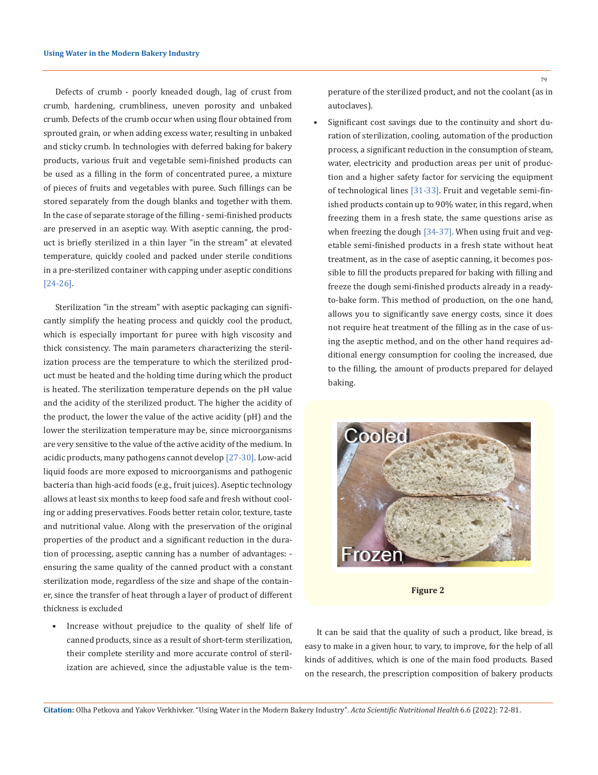Defects of crumb - poorly kneaded dough, lag of crust from crumb, hardening, crumbliness, uneven porosity and unbaked crumb. Defects of the crumb occur when using flour obtained from sprouted grain, or when adding excess water, resulting in unbaked and sticky crumb. In technologies with deferred baking for bakery products, various fruit and vegetable semi-finished products can be used as a filling in the form of concentrated puree, a mixture of pieces of fruits and vegetables with puree. Such fillings can be stored separately from the dough blanks and together with them. In the case of separate storage of the filling - semi-finished products are preserved in an aseptic way. With aseptic canning, the product is briefly sterilized in a thin layer "in the stream" at elevated temperature, quickly cooled and packed under sterile conditions in a pre-sterilized container with capping under aseptic conditions [24-26].

Sterilization "in the stream" with aseptic packaging can significantly simplify the heating process and quickly cool the product, which is especially important for puree with high viscosity and thick consistency. The main parameters characterizing the sterilization process are the temperature to which the sterilized product must be heated and the holding time during which the product is heated. The sterilization temperature depends on the pH value and the acidity of the sterilized product. The higher the acidity of the product, the lower the value of the active acidity (pH) and the lower the sterilization temperature may be, since microorganisms are very sensitive to the value of the active acidity of the medium. In acidic products, many pathogens cannot develop [27-30]. Low-acid liquid foods are more exposed to microorganisms and pathogenic bacteria than high-acid foods (e.g., fruit juices). Aseptic technology allows at least six months to keep food safe and fresh without cooling or adding preservatives. Foods better retain color, texture, taste and nutritional value. Along with the preservation of the original properties of the product and a significant reduction in the duration of processing, aseptic canning has a number of advantages: ensuring the same quality of the canned product with a constant sterilization mode, regardless of the size and shape of the container, since the transfer of heat through a layer of product of different thickness is excluded

• Increase without prejudice to the quality of shelf life of canned products, since as a result of short-term sterilization, their complete sterility and more accurate control of sterilization are achieved, since the adjustable value is the temperature of the sterilized product, and not the coolant (as in autoclaves).

Significant cost savings due to the continuity and short duration of sterilization, cooling, automation of the production process, a significant reduction in the consumption of steam, water, electricity and production areas per unit of production and a higher safety factor for servicing the equipment of technological lines [31-33]. Fruit and vegetable semi-finished products contain up to 90% water, in this regard, when freezing them in a fresh state, the same questions arise as when freezing the dough [34-37]. When using fruit and vegetable semi-finished products in a fresh state without heat treatment, as in the case of aseptic canning, it becomes possible to fill the products prepared for baking with filling and freeze the dough semi-finished products already in a readyto-bake form. This method of production, on the one hand, allows you to significantly save energy costs, since it does not require heat treatment of the filling as in the case of using the aseptic method, and on the other hand requires additional energy consumption for cooling the increased, due to the filling, the amount of products prepared for delayed baking.



**Figure 2**

It can be said that the quality of such a product, like bread, is easy to make in a given hour, to vary, to improve, for the help of all kinds of additives, which is one of the main food products. Based on the research, the prescription composition of bakery products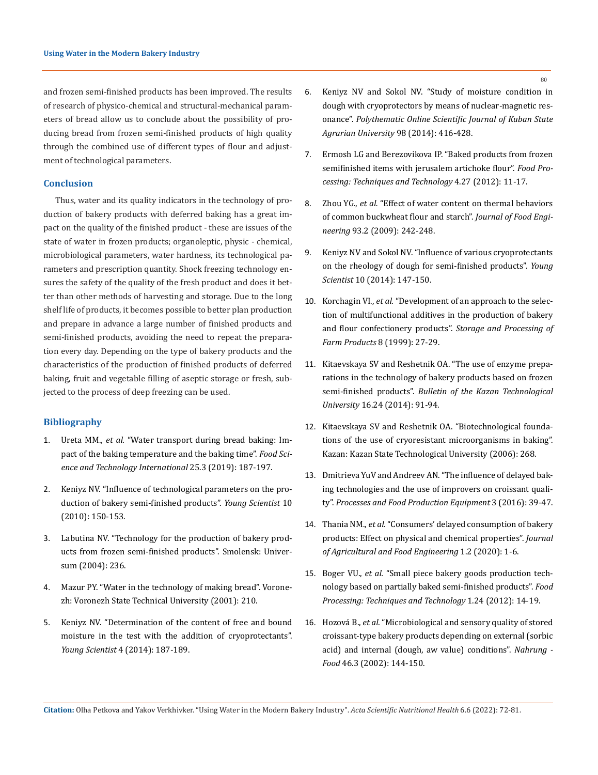and frozen semi-finished products has been improved. The results of research of physico-chemical and structural-mechanical parameters of bread allow us to conclude about the possibility of producing bread from frozen semi-finished products of high quality through the combined use of different types of flour and adjustment of technological parameters.

# **Conclusion**

Thus, water and its quality indicators in the technology of production of bakery products with deferred baking has a great impact on the quality of the finished product - these are issues of the state of water in frozen products; organoleptic, physic - chemical, microbiological parameters, water hardness, its technological parameters and prescription quantity. Shock freezing technology ensures the safety of the quality of the fresh product and does it better than other methods of harvesting and storage. Due to the long shelf life of products, it becomes possible to better plan production and prepare in advance a large number of finished products and semi-finished products, avoiding the need to repeat the preparation every day. Depending on the type of bakery products and the characteristics of the production of finished products of deferred baking, fruit and vegetable filling of aseptic storage or fresh, subjected to the process of deep freezing can be used.

# **Bibliography**

- 1. Ureta MM., *et al.* ["Water transport during bread baking: Im](https://pubmed.ncbi.nlm.nih.gov/30482042/)[pact of the baking temperature and the baking time".](https://pubmed.ncbi.nlm.nih.gov/30482042/) *Food Sci[ence and Technology International](https://pubmed.ncbi.nlm.nih.gov/30482042/)* 25.3 (2019): 187-197.
- 2. Keniyz NV. "Influence of technological parameters on the production of bakery semi-finished products". *Young Scientist* 10 (2010): 150-153.
- 3. Labutina NV. "Technology for the production of bakery products from frozen semi-finished products". Smolensk: Universum (2004): 236.
- 4. Mazur PY. "Water in the technology of making bread". Voronezh: Voronezh State Technical University (2001): 210.
- 5. Keniyz NV. "Determination of the content of free and bound moisture in the test with the addition of cryoprotectants". *Young Scientist* 4 (2014): 187-189.
- 6. Keniyz NV and Sokol NV. "Study of moisture condition in dough with cryoprotectors by means of nuclear-magnetic resonance". *Polythematic Online Scientific Journal of Kuban State Agrarian University* 98 (2014): 416-428.
- 7. Ermosh LG and Berezovikova IP. "Baked products from frozen semifinished items with jerusalem artichoke flour". *Food Processing: Techniques and Technology* 4.27 (2012): 11-17.
- 8. Zhou YG., *et al.* ["Effect of water content on thermal behaviors](https://www.sciencedirect.com/science/article/abs/pii/S0260877409000351)  [of common buckwheat flour and starch".](https://www.sciencedirect.com/science/article/abs/pii/S0260877409000351) *Journal of Food Engineering* [93.2 \(2009\): 242-248.](https://www.sciencedirect.com/science/article/abs/pii/S0260877409000351)
- 9. Keniyz NV and Sokol NV. "Influence of various cryoprotectants on the rheology of dough for semi-finished products". *Young Scientist* 10 (2014): 147-150.
- 10. Korchagin VI., *et al.* "Development of an approach to the selection of multifunctional additives in the production of bakery and flour confectionery products". *Storage and Processing of Farm Products* 8 (1999): 27-29.
- 11. Kitaevskaya SV and Reshetnik OA. "The use of enzyme preparations in the technology of bakery products based on frozen semi-finished products". *Bulletin of the Kazan Technological University* 16.24 (2014): 91-94.
- 12. Kitaevskaya SV and Reshetnik OA. "Biotechnological foundations of the use of cryoresistant microorganisms in baking". Kazan: Kazan State Technological University (2006): 268.
- 13. [Dmitrieva YuV and Andreev AN. "The influence of delayed bak](https://agris.fao.org/agris-search/search.do?recordID=RU2017000450)[ing technologies and the use of improvers on croissant quali](https://agris.fao.org/agris-search/search.do?recordID=RU2017000450)ty". *[Processes and Food Production Equipment](https://agris.fao.org/agris-search/search.do?recordID=RU2017000450)* 3 (2016): 39-47.
- 14. Thania NM., *et al.* ["Consumers' delayed consumption of bakery](https://www.myjafe.com/wp-content/uploads/2020/05/MYJAFE2020-0013.pdf)  [products: Effect on physical and chemical properties".](https://www.myjafe.com/wp-content/uploads/2020/05/MYJAFE2020-0013.pdf) *Journal [of Agricultural and Food Engineering](https://www.myjafe.com/wp-content/uploads/2020/05/MYJAFE2020-0013.pdf)* 1.2 (2020): 1-6.
- 15. Boger VU., *et al.* "Small piece bakery goods production technology based on partially baked semi-finished products". *Food Processing: Techniques and Technology* 1.24 (2012): 14-19.
- 16. Hozová B., *et al.* ["Microbiological and sensory quality of stored](https://pubmed.ncbi.nlm.nih.gov/12108212/)  [croissant-type bakery products depending on external \(sorbic](https://pubmed.ncbi.nlm.nih.gov/12108212/)  [acid\) and internal \(dough, aw value\) conditions".](https://pubmed.ncbi.nlm.nih.gov/12108212/) *Nahrung - Food* [46.3 \(2002\): 144-150.](https://pubmed.ncbi.nlm.nih.gov/12108212/)